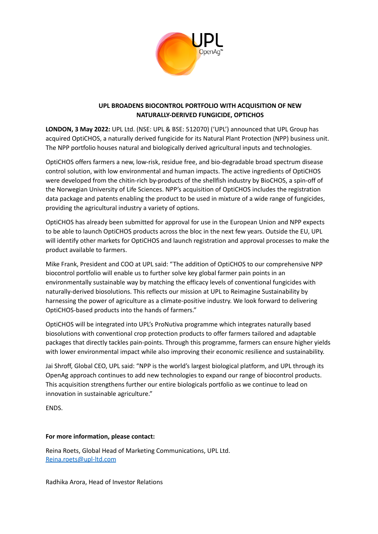

# **UPL BROADENS BIOCONTROL PORTFOLIO WITH ACQUISITION OF NEW NATURALLY-DERIVED FUNGICIDE, OPTICHOS**

**LONDON, 3 May 2022:** UPL Ltd. (NSE: UPL & BSE: 512070) ('UPL') announced that UPL Group has acquired OptiCHOS, a naturally derived fungicide for its Natural Plant Protection (NPP) business unit. The NPP portfolio houses natural and biologically derived agricultural inputs and technologies.

OptiCHOS offers farmers a new, low-risk, residue free, and bio-degradable broad spectrum disease control solution, with low environmental and human impacts. The active ingredients of OptiCHOS were developed from the chitin-rich by-products of the shellfish industry by BioCHOS, a spin-off of the Norwegian University of Life Sciences. NPP's acquisition of OptiCHOS includes the registration data package and patents enabling the product to be used in mixture of a wide range of fungicides, providing the agricultural industry a variety of options.

OptiCHOS has already been submitted for approval for use in the European Union and NPP expects to be able to launch OptiCHOS products across the bloc in the next few years. Outside the EU, UPL will identify other markets for OptiCHOS and launch registration and approval processes to make the product available to farmers.

Mike Frank, President and COO at UPL said: "The addition of OptiCHOS to our comprehensive NPP biocontrol portfolio will enable us to further solve key global farmer pain points in an environmentally sustainable way by matching the efficacy levels of conventional fungicides with naturally-derived biosolutions. This reflects our mission at UPL to Reimagine Sustainability by harnessing the power of agriculture as a climate-positive industry. We look forward to delivering OptiCHOS-based products into the hands of farmers."

OptiCHOS will be integrated into UPL's ProNutiva programme which integrates naturally based biosolutions with conventional crop protection products to offer farmers tailored and adaptable packages that directly tackles pain-points. Through this programme, farmers can ensure higher yields with lower environmental impact while also improving their economic resilience and sustainability.

Jai Shroff, Global CEO, UPL said: "NPP is the world's largest biological platform, and UPL through its OpenAg approach continues to add new technologies to expand our range of biocontrol products. This acquisition strengthens further our entire biologicals portfolio as we continue to lead on innovation in sustainable agriculture."

ENDS.

## **For more information, please contact:**

Reina Roets, Global Head of Marketing Communications, UPL Ltd. [Reina.roets@upl-ltd.com](mailto:Reina.roets@upl-ltd.com)

Radhika Arora, Head of Investor Relations